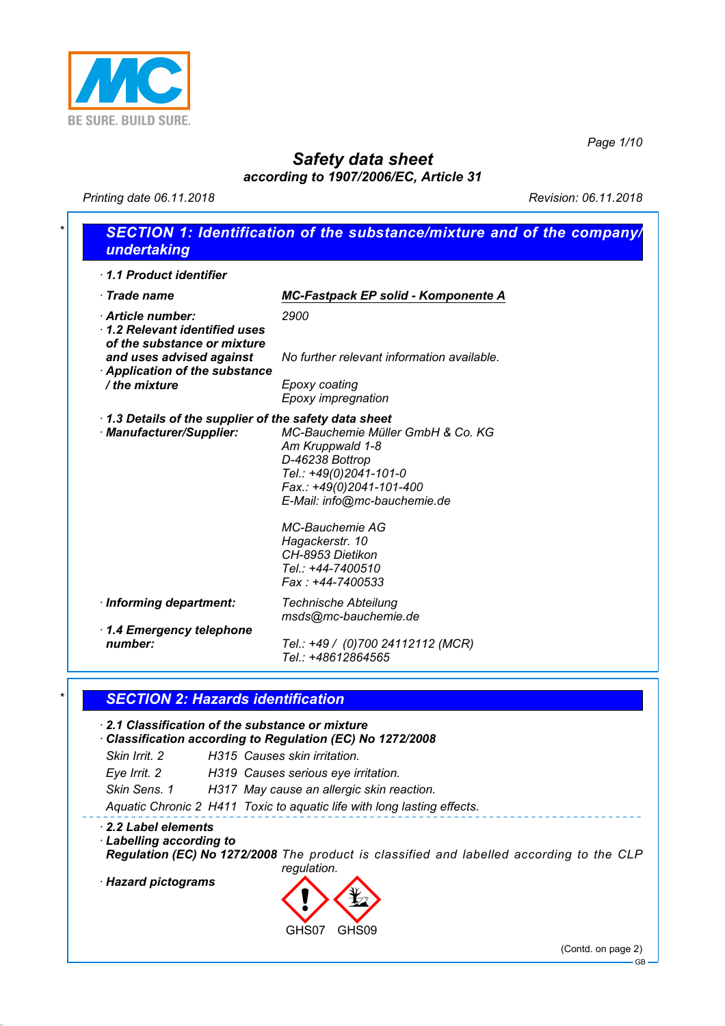

*Page 1/10*

# *Safety data sheet*

*according to 1907/2006/EC, Article 31*

*Printing date 06.11.2018 Revision: 06.11.2018*

| 1.1 Product identifier                                                                                             |                                                                                                                                                                |
|--------------------------------------------------------------------------------------------------------------------|----------------------------------------------------------------------------------------------------------------------------------------------------------------|
| $\cdot$ Trade name                                                                                                 | <b>MC-Fastpack EP solid - Komponente A</b>                                                                                                                     |
| Article number:<br>$\cdot$ 1.2 Relevant identified uses<br>of the substance or mixture                             | 2900                                                                                                                                                           |
| and uses advised against<br><b>Application of the substance</b>                                                    | No further relevant information available.                                                                                                                     |
| / the mixture                                                                                                      | Epoxy coating<br>Epoxy impregnation                                                                                                                            |
| 1.3 Details of the supplier of the safety data sheet<br>· Manufacturer/Supplier:                                   | MC-Bauchemie Müller GmbH & Co. KG<br>Am Kruppwald 1-8<br>D-46238 Bottrop<br>Tel.: +49(0)2041-101-0<br>Fax.: +49(0)2041-101-400<br>E-Mail: info@mc-bauchemie.de |
|                                                                                                                    | MC-Bauchemie AG<br>Hagackerstr. 10<br>CH-8953 Dietikon<br>Tel.: +44-7400510<br>Fax: +44-7400533                                                                |
| · Informing department:                                                                                            | <b>Technische Abteilung</b><br>msds@mc-bauchemie.de                                                                                                            |
| 1.4 Emergency telephone<br>number:                                                                                 | Tel.: +49 / (0)700 24112112 (MCR)<br>Tel.: +48612864565                                                                                                        |
| <b>SECTION 2: Hazards identification</b>                                                                           |                                                                                                                                                                |
| $\cdot$ 2.1 Classification of the substance or mixture<br>Classification according to Regulation (EC) No 1272/2008 |                                                                                                                                                                |
| Skin Irrit, 2                                                                                                      | H315 Causes skin irritation.                                                                                                                                   |

#### *· 2.2 Label elements*

*· Labelling according to*

*Regulation (EC) No 1272/2008 The product is classified and labelled according to the CLP regulation.*

*· Hazard pictograms* d~

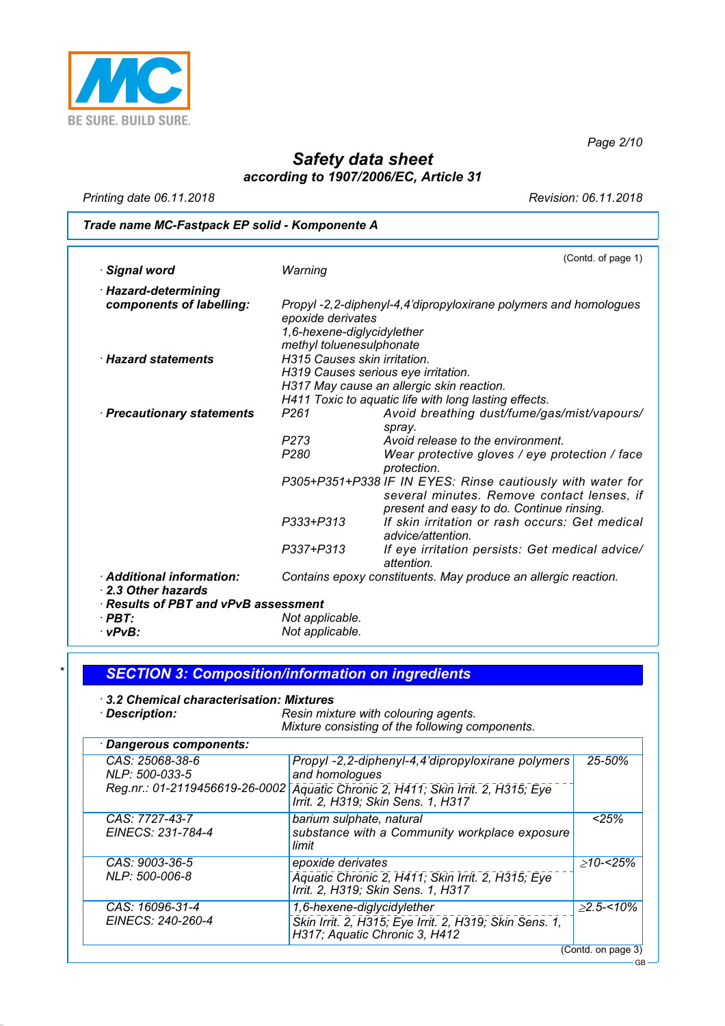

*Page 2/10*

## *Safety data sheet according to 1907/2006/EC, Article 31*

*Printing date 06.11.2018 Revision: 06.11.2018*

## *Trade name MC-Fastpack EP solid - Komponente A*

|                                      |                                                          | (Contd. of page 1)                                              |
|--------------------------------------|----------------------------------------------------------|-----------------------------------------------------------------|
| · Signal word                        | Warning                                                  |                                                                 |
| · Hazard-determining                 |                                                          |                                                                 |
| components of labelling:             |                                                          | Propyl-2,2-diphenyl-4,4'dipropyloxirane polymers and homologues |
|                                      | epoxide derivates                                        |                                                                 |
|                                      | 1,6-hexene-diglycidylether                               |                                                                 |
| <b>Hazard statements</b>             | methyl toluenesulphonate<br>H315 Causes skin irritation. |                                                                 |
|                                      |                                                          |                                                                 |
|                                      |                                                          | H319 Causes serious eye irritation.                             |
|                                      |                                                          | H317 May cause an allergic skin reaction.                       |
|                                      |                                                          | H411 Toxic to aquatic life with long lasting effects.           |
| · Precautionary statements           | P <sub>261</sub>                                         | Avoid breathing dust/fume/gas/mist/vapours/                     |
|                                      |                                                          | spray.                                                          |
|                                      | P273                                                     | Avoid release to the environment.                               |
|                                      | P280                                                     | Wear protective gloves / eye protection / face<br>protection.   |
|                                      |                                                          | P305+P351+P338 IF IN EYES: Rinse cautiously with water for      |
|                                      |                                                          | several minutes. Remove contact lenses, if                      |
|                                      |                                                          | present and easy to do. Continue rinsing.                       |
|                                      | P333+P313                                                | If skin irritation or rash occurs: Get medical                  |
|                                      |                                                          | advice/attention.                                               |
|                                      | P337+P313                                                | If eye irritation persists: Get medical advice/<br>attention.   |
| Additional information:              |                                                          | Contains epoxy constituents. May produce an allergic reaction.  |
| 2.3 Other hazards                    |                                                          |                                                                 |
| · Results of PBT and vPvB assessment |                                                          |                                                                 |
| $\cdot$ PBT:                         | Not applicable.                                          |                                                                 |
| $\cdot$ vPvB:                        | Not applicable.                                          |                                                                 |

| 3.2 Chemical characterisation: Mixtures<br>· Description: | Resin mixture with colouring agents.<br>Mixture consisting of the following components.                               |                 |
|-----------------------------------------------------------|-----------------------------------------------------------------------------------------------------------------------|-----------------|
| <b>Dangerous components:</b>                              |                                                                                                                       |                 |
| CAS: 25068-38-6<br>NLP: 500-033-5                         | Propyl -2,2-diphenyl-4,4'dipropyloxirane polymers<br>and homologues                                                   | 25-50%          |
| Reg.nr.: 01-2119456619-26-0002                            | Aquatic Chronic 2, H411; Skin Irrit. 2, H315; Eye<br>Irrit. 2, H319; Skin Sens. 1, H317                               |                 |
| CAS: 7727-43-7<br>EINECS: 231-784-4                       | barium sulphate, natural<br>substance with a Community workplace exposure<br>limit                                    | < 25%           |
| CAS: 9003-36-5<br>NLP: 500-006-8                          | epoxide derivates<br>Aquatic Chronic 2, H411; Skin Irrit. 2, H315; Eye<br>Irrit. 2, H319; Skin Sens. 1, H317          | $>10 - 25%$     |
| CAS: 16096-31-4<br>EINECS: 240-260-4                      | 1,6-hexene-diglycidylether<br>Skin Irrit. 2, H315; Eye Irrit. 2, H319; Skin Sens. 1,<br>H317; Aquatic Chronic 3, H412 | $\geq$ 2.5-<10% |

(Contd. on page 3)

GB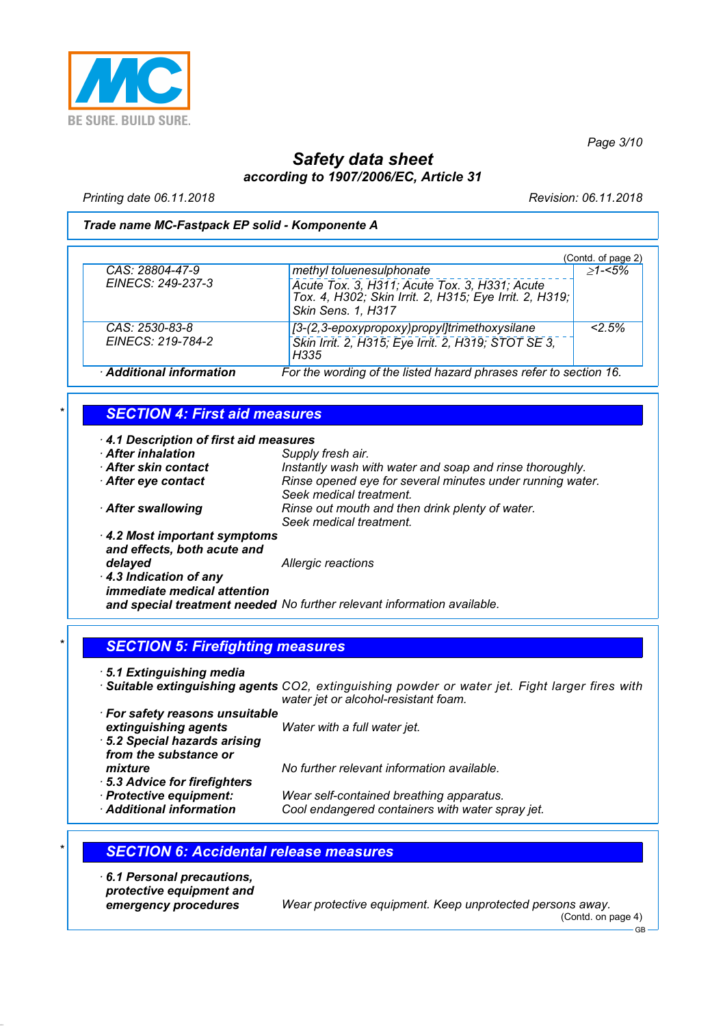

*Page 3/10*

## *Safety data sheet according to 1907/2006/EC, Article 31*

*Printing date 06.11.2018 Revision: 06.11.2018*

#### *Trade name MC-Fastpack EP solid - Komponente A*

|                        |                                                                                                                               | (Contd. of page 2) |
|------------------------|-------------------------------------------------------------------------------------------------------------------------------|--------------------|
| CAS: 28804-47-9        | methyl toluenesulphonate                                                                                                      | $>1 - 5\%$         |
| EINECS: 249-237-3      | Acute Tox. 3, H311; Acute Tox. 3, H331; Acute<br>Tox. 4, H302; Skin Irrit. 2, H315; Eye Irrit. 2, H319;<br>Skin Sens. 1, H317 |                    |
| CAS: 2530-83-8         | [3-(2,3-epoxypropoxy)propyl]trimethoxysilane                                                                                  | 2.5%               |
| EINECS: 219-784-2      | Skin Irrit. 2, H315; Eye Irrit. 2, H319; STOT SE 3,<br>H335                                                                   |                    |
| Additional information | For the wording of the listed hazard phrases refer to section 16.                                                             |                    |

### *\* SECTION 4: First aid measures*

| 4.1 Description of first aid measures                       |                                                                                      |
|-------------------------------------------------------------|--------------------------------------------------------------------------------------|
| <b>After inhalation</b>                                     | Supply fresh air.                                                                    |
| After skin contact                                          | Instantly wash with water and soap and rinse thoroughly.                             |
| After eye contact                                           | Rinse opened eye for several minutes under running water.<br>Seek medical treatment. |
| After swallowing                                            | Rinse out mouth and then drink plenty of water.<br>Seek medical treatment.           |
| 4.2 Most important symptoms<br>and effects, both acute and  |                                                                                      |
| delayed                                                     | Allergic reactions                                                                   |
| 4.3 Indication of any<br><i>immediate medical attention</i> |                                                                                      |
|                                                             | and special treatment needed No further relevant information available.              |

### *\* SECTION 5: Firefighting measures*

*· 5.1 Extinguishing media*

- *· Suitable extinguishing agents CO2, extinguishing powder or water jet. Fight larger fires with water jet or alcohol-resistant foam.*
- *· For safety reasons unsuitable extinguishing agents Water with a full water jet. · 5.2 Special hazards arising from the substance or mixture No further relevant information available.*
- *· 5.3 Advice for firefighters*
- 

- *· Protective equipment: Wear self-contained breathing apparatus.*
	- Cool endangered containers with water spray jet.

### *\* SECTION 6: Accidental release measures*

*· 6.1 Personal precautions, protective equipment and*

*emergency procedures Wear protective equipment. Keep unprotected persons away.* (Contd. on page 4)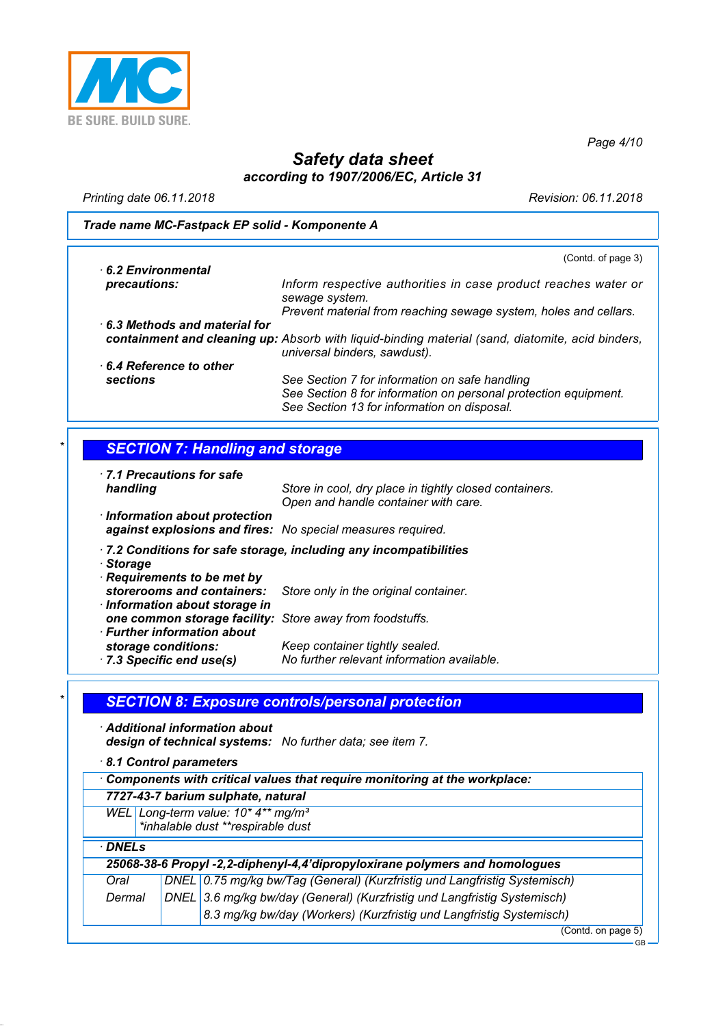

*Page 4/10*

## *Safety data sheet according to 1907/2006/EC, Article 31*

*Printing date 06.11.2018 Revision: 06.11.2018*

#### *Trade name MC-Fastpack EP solid - Komponente A*

| 6.2 Environmental                    | (Contd. of page 3)                                                                                                                                               |
|--------------------------------------|------------------------------------------------------------------------------------------------------------------------------------------------------------------|
|                                      |                                                                                                                                                                  |
| precautions:                         | Inform respective authorities in case product reaches water or<br>sewage system.                                                                                 |
|                                      | Prevent material from reaching sewage system, holes and cellars.                                                                                                 |
| $\cdot$ 6.3 Methods and material for |                                                                                                                                                                  |
|                                      | containment and cleaning up: Absorb with liquid-binding material (sand, diatomite, acid binders,<br>universal binders, sawdust).                                 |
| 6.4 Reference to other               |                                                                                                                                                                  |
| <b>sections</b>                      | See Section 7 for information on safe handling<br>See Section 8 for information on personal protection equipment.<br>See Section 13 for information on disposal. |

### *\* SECTION 7: Handling and storage*

*· 7.1 Precautions for safe*

*Store in cool, dry place in tightly closed containers. Open and handle container with care.*

- *· Information about protection against explosions and fires: No special measures required.*
- *· 7.2 Conditions for safe storage, including any incompatibilities*
- *· Storage*
- *· Requirements to be met by storerooms and containers: Store only in the original container. · Information about storage in one common storage facility: Store away from foodstuffs. · Further information about storage conditions: Keep container tightly sealed. · 7.3 Specific end use(s) No further relevant information available.*

### *\* SECTION 8: Exposure controls/personal protection*

- *· Additional information about design of technical systems: No further data; see item 7.*
- *· 8.1 Control parameters*

|                                                                           | o. I Control parameters |                                                                                     |
|---------------------------------------------------------------------------|-------------------------|-------------------------------------------------------------------------------------|
| Components with critical values that require monitoring at the workplace: |                         |                                                                                     |
|                                                                           |                         | 7727-43-7 barium sulphate, natural                                                  |
|                                                                           |                         | WEL Long-term value: 10* 4** mg/m <sup>3</sup><br>*inhalable dust **respirable dust |
| · DNELs                                                                   |                         |                                                                                     |
|                                                                           |                         | 25068-38-6 Propyl -2,2-diphenyl-4,4'dipropyloxirane polymers and homologues         |
| Oral                                                                      |                         | DNEL 0.75 mg/kg bw/Tag (General) (Kurzfristig und Langfristig Systemisch)           |
| Dermal                                                                    |                         | DNEL 3.6 mg/kg bw/day (General) (Kurzfristig und Langfristig Systemisch)            |
|                                                                           |                         | 8.3 mg/kg bw/day (Workers) (Kurzfristig und Langfristig Systemisch)                 |
|                                                                           |                         | (Contd. on page 5)                                                                  |
|                                                                           |                         | <b>GB</b>                                                                           |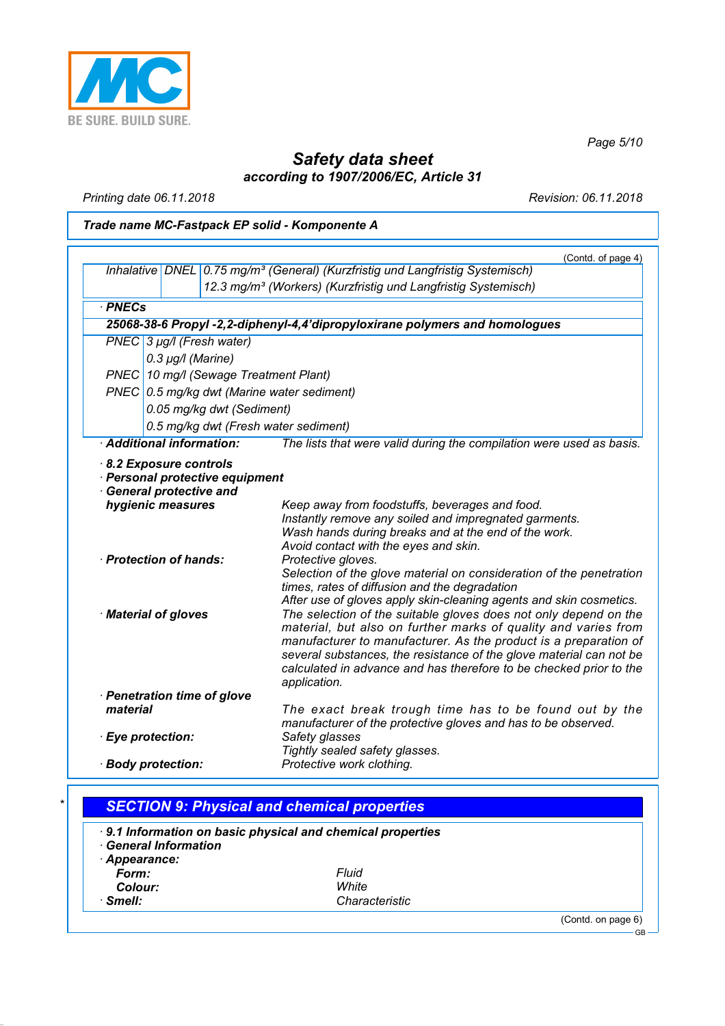

*Page 5/10*

## *Safety data sheet according to 1907/2006/EC, Article 31*

*Printing date 06.11.2018 Revision: 06.11.2018*

## *Trade name MC-Fastpack EP solid - Komponente A*

|          |                                                                           |                                                                                                                                           | (Contd. of page 4) |
|----------|---------------------------------------------------------------------------|-------------------------------------------------------------------------------------------------------------------------------------------|--------------------|
|          |                                                                           | Inhalative DNEL 0.75 mg/m <sup>3</sup> (General) (Kurzfristig und Langfristig Systemisch)                                                 |                    |
|          | 12.3 mg/m <sup>3</sup> (Workers) (Kurzfristig und Langfristig Systemisch) |                                                                                                                                           |                    |
|          | · PNECs                                                                   |                                                                                                                                           |                    |
|          |                                                                           | 25068-38-6 Propyl -2,2-diphenyl-4,4'dipropyloxirane polymers and homologues                                                               |                    |
|          | PNEC 3 µg/l (Fresh water)                                                 |                                                                                                                                           |                    |
|          | $0.3 \mu g/l$ (Marine)                                                    |                                                                                                                                           |                    |
|          |                                                                           | PNEC 10 mg/l (Sewage Treatment Plant)                                                                                                     |                    |
|          |                                                                           | PNEC 0.5 mg/kg dwt (Marine water sediment)                                                                                                |                    |
|          |                                                                           | 0.05 mg/kg dwt (Sediment)                                                                                                                 |                    |
|          |                                                                           | 0.5 mg/kg dwt (Fresh water sediment)                                                                                                      |                    |
|          | · Additional information:                                                 | The lists that were valid during the compilation were used as basis.                                                                      |                    |
|          | 8.2 Exposure controls                                                     |                                                                                                                                           |                    |
|          |                                                                           | · Personal protective equipment                                                                                                           |                    |
|          | <b>General protective and</b>                                             |                                                                                                                                           |                    |
|          | hygienic measures                                                         | Keep away from foodstuffs, beverages and food.<br>Instantly remove any soiled and impregnated garments.                                   |                    |
|          |                                                                           | Wash hands during breaks and at the end of the work.                                                                                      |                    |
|          |                                                                           | Avoid contact with the eyes and skin.                                                                                                     |                    |
|          | · Protection of hands:                                                    | Protective gloves.                                                                                                                        |                    |
|          |                                                                           | Selection of the glove material on consideration of the penetration<br>times, rates of diffusion and the degradation                      |                    |
|          |                                                                           | After use of gloves apply skin-cleaning agents and skin cosmetics.                                                                        |                    |
|          | · Material of gloves                                                      | The selection of the suitable gloves does not only depend on the                                                                          |                    |
|          |                                                                           | material, but also on further marks of quality and varies from                                                                            |                    |
|          |                                                                           | manufacturer to manufacturer. As the product is a preparation of                                                                          |                    |
|          |                                                                           | several substances, the resistance of the glove material can not be<br>calculated in advance and has therefore to be checked prior to the |                    |
|          |                                                                           | application.                                                                                                                              |                    |
|          | · Penetration time of glove                                               |                                                                                                                                           |                    |
| material |                                                                           | The exact break trough time has to be found out by the                                                                                    |                    |
|          |                                                                           | manufacturer of the protective gloves and has to be observed.                                                                             |                    |
|          | · Eye protection:                                                         | Safety glasses<br>Tightly sealed safety glasses.                                                                                          |                    |
|          | Protective work clothing.<br>· Body protection:                           |                                                                                                                                           |                    |
|          |                                                                           |                                                                                                                                           |                    |

|                            | 9.1 Information on basic physical and chemical properties |  |
|----------------------------|-----------------------------------------------------------|--|
| <b>General Information</b> |                                                           |  |
| Appearance:                |                                                           |  |
| Form:                      | Fluid                                                     |  |
| Colour:                    | White                                                     |  |
| $\cdot$ Smell:             | Characteristic                                            |  |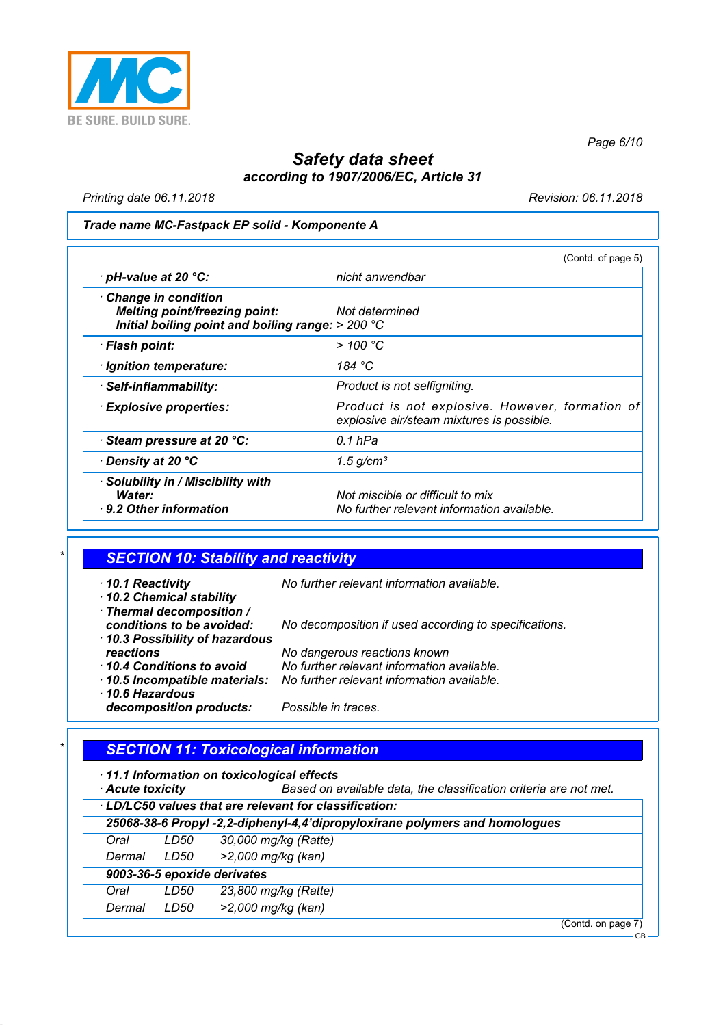

*Page 6/10*

GB

## *Safety data sheet according to 1907/2006/EC, Article 31*

*Printing date 06.11.2018 Revision: 06.11.2018*

#### *Trade name MC-Fastpack EP solid - Komponente A*

|                                                                                                                    | (Contd. of page 5)                                                                           |
|--------------------------------------------------------------------------------------------------------------------|----------------------------------------------------------------------------------------------|
| $\cdot$ pH-value at 20 $\degree$ C:                                                                                | nicht anwendbar                                                                              |
| Change in condition<br><b>Melting point/freezing point:</b><br>Initial boiling point and boiling range: $> 200$ °C | Not determined                                                                               |
| · Flash point:                                                                                                     | $>$ 100 °C                                                                                   |
| · Ignition temperature:                                                                                            | 184 $\degree$ C                                                                              |
| · Self-inflammability:                                                                                             | Product is not selfigniting.                                                                 |
| <b>Explosive properties:</b>                                                                                       | Product is not explosive. However, formation of<br>explosive air/steam mixtures is possible. |
| Steam pressure at 20 °C:                                                                                           | 0.1 hPa                                                                                      |
| <b><i>Density at 20 °C</i></b>                                                                                     | $1.5$ g/cm <sup>3</sup>                                                                      |
| · Solubility in / Miscibility with<br>Water:<br>9.2 Other information                                              | Not miscible or difficult to mix<br>No further relevant information available.               |

## *\* SECTION 10: Stability and reactivity*

| $\cdot$ 10.1 Reactivity<br>10.2 Chemical stability                                      | No further relevant information available.            |
|-----------------------------------------------------------------------------------------|-------------------------------------------------------|
| · Thermal decomposition /<br>conditions to be avoided:<br>10.3 Possibility of hazardous | No decomposition if used according to specifications. |
| reactions                                                                               | No dangerous reactions known                          |
| 10.4 Conditions to avoid                                                                | No further relevant information available.            |
| 10.5 Incompatible materials:                                                            | No further relevant information available.            |
| $\cdot$ 10.6 Hazardous                                                                  |                                                       |
| decomposition products:                                                                 | Possible in traces.                                   |

## *\* SECTION 11: Toxicological information*

*· 11.1 Information on toxicological effects*

*Based on available data, the classification criteria are not met.* 

| LD/LC50 values that are relevant for classification: |                                                                             |                      |
|------------------------------------------------------|-----------------------------------------------------------------------------|----------------------|
|                                                      | 25068-38-6 Propyl -2,2-diphenyl-4,4'dipropyloxirane polymers and homologues |                      |
| Oral                                                 | LD50                                                                        | 30,000 mg/kg (Ratte) |
| Dermal                                               | LD50                                                                        | >2,000 mg/kg (kan)   |
|                                                      | 9003-36-5 epoxide derivates                                                 |                      |
| Oral                                                 | LD50                                                                        | 23,800 mg/kg (Ratte) |
| Dermal                                               | LD50                                                                        | >2,000 mg/kg (kan)   |
|                                                      |                                                                             | (Contd. on page 7)   |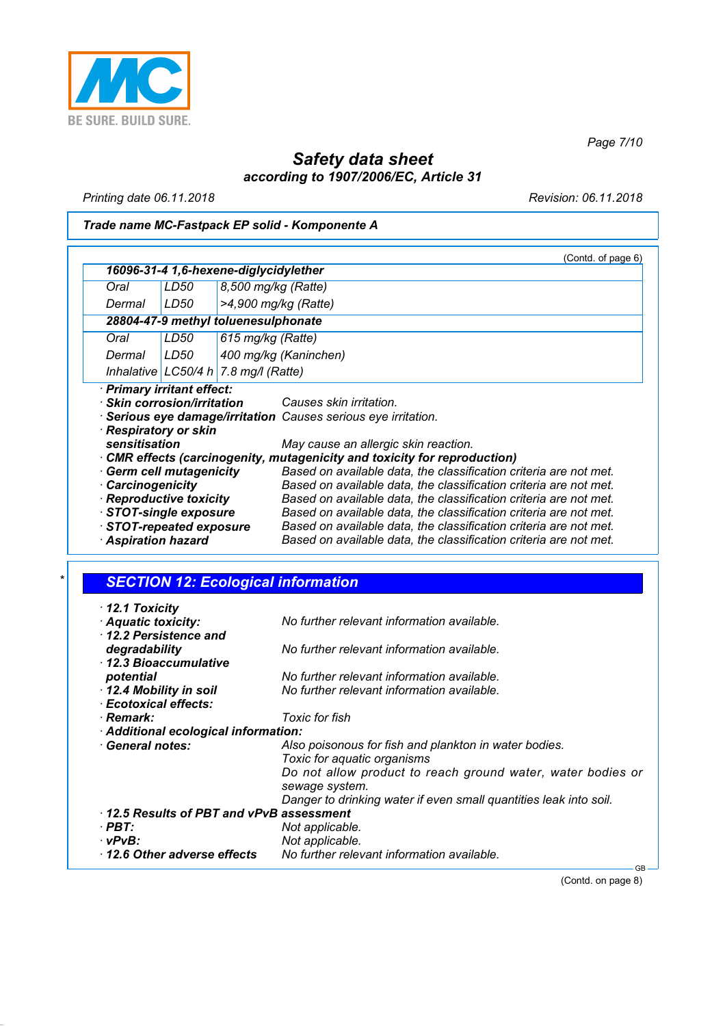

*Page 7/10*

## *Safety data sheet according to 1907/2006/EC, Article 31*

*Printing date 06.11.2018 Revision: 06.11.2018*

## *Trade name MC-Fastpack EP solid - Komponente A*

| 16096-31-4 1,6-hexene-diglycidylether<br>Oral<br>LD50<br>8,500 mg/kg (Ratte)<br>LD50<br>Dermal<br>$>4.900$ mg/kg (Ratte)<br>28804-47-9 methyl toluenesulphonate<br>Oral<br>LD50<br>615 mg/kg (Ratte)<br>Dermal<br>LD50<br>400 mg/kg (Kaninchen)<br>Inhalative LC50/4 h 7.8 mg/l (Ratte)<br>· Primary irritant effect:<br>$\cdot$ Skin corrosion/irritation<br>Causes skin irritation.<br>· Serious eye damage/irritation Causes serious eye irritation.<br>· Respiratory or skin<br>sensitisation<br>May cause an allergic skin reaction.<br>· CMR effects (carcinogenity, mutagenicity and toxicity for reproduction)<br>Based on available data, the classification criteria are not met.<br>Germ cell mutagenicity<br>Based on available data, the classification criteria are not met.<br>· Carcinogenicity<br>· Reproductive toxicity<br>Based on available data, the classification criteria are not met.<br>STOT-single exposure<br>Based on available data, the classification criteria are not met.<br>STOT-repeated exposure<br>Based on available data, the classification criteria are not met.<br><b>Aspiration hazard</b><br>Based on available data, the classification criteria are not met. |  |  |  | (Contd. of page 6) |  |
|--------------------------------------------------------------------------------------------------------------------------------------------------------------------------------------------------------------------------------------------------------------------------------------------------------------------------------------------------------------------------------------------------------------------------------------------------------------------------------------------------------------------------------------------------------------------------------------------------------------------------------------------------------------------------------------------------------------------------------------------------------------------------------------------------------------------------------------------------------------------------------------------------------------------------------------------------------------------------------------------------------------------------------------------------------------------------------------------------------------------------------------------------------------------------------------------------------------|--|--|--|--------------------|--|
|                                                                                                                                                                                                                                                                                                                                                                                                                                                                                                                                                                                                                                                                                                                                                                                                                                                                                                                                                                                                                                                                                                                                                                                                              |  |  |  |                    |  |
|                                                                                                                                                                                                                                                                                                                                                                                                                                                                                                                                                                                                                                                                                                                                                                                                                                                                                                                                                                                                                                                                                                                                                                                                              |  |  |  |                    |  |
|                                                                                                                                                                                                                                                                                                                                                                                                                                                                                                                                                                                                                                                                                                                                                                                                                                                                                                                                                                                                                                                                                                                                                                                                              |  |  |  |                    |  |
|                                                                                                                                                                                                                                                                                                                                                                                                                                                                                                                                                                                                                                                                                                                                                                                                                                                                                                                                                                                                                                                                                                                                                                                                              |  |  |  |                    |  |
|                                                                                                                                                                                                                                                                                                                                                                                                                                                                                                                                                                                                                                                                                                                                                                                                                                                                                                                                                                                                                                                                                                                                                                                                              |  |  |  |                    |  |
|                                                                                                                                                                                                                                                                                                                                                                                                                                                                                                                                                                                                                                                                                                                                                                                                                                                                                                                                                                                                                                                                                                                                                                                                              |  |  |  |                    |  |
|                                                                                                                                                                                                                                                                                                                                                                                                                                                                                                                                                                                                                                                                                                                                                                                                                                                                                                                                                                                                                                                                                                                                                                                                              |  |  |  |                    |  |
|                                                                                                                                                                                                                                                                                                                                                                                                                                                                                                                                                                                                                                                                                                                                                                                                                                                                                                                                                                                                                                                                                                                                                                                                              |  |  |  |                    |  |
|                                                                                                                                                                                                                                                                                                                                                                                                                                                                                                                                                                                                                                                                                                                                                                                                                                                                                                                                                                                                                                                                                                                                                                                                              |  |  |  |                    |  |
|                                                                                                                                                                                                                                                                                                                                                                                                                                                                                                                                                                                                                                                                                                                                                                                                                                                                                                                                                                                                                                                                                                                                                                                                              |  |  |  |                    |  |
|                                                                                                                                                                                                                                                                                                                                                                                                                                                                                                                                                                                                                                                                                                                                                                                                                                                                                                                                                                                                                                                                                                                                                                                                              |  |  |  |                    |  |
|                                                                                                                                                                                                                                                                                                                                                                                                                                                                                                                                                                                                                                                                                                                                                                                                                                                                                                                                                                                                                                                                                                                                                                                                              |  |  |  |                    |  |
|                                                                                                                                                                                                                                                                                                                                                                                                                                                                                                                                                                                                                                                                                                                                                                                                                                                                                                                                                                                                                                                                                                                                                                                                              |  |  |  |                    |  |
|                                                                                                                                                                                                                                                                                                                                                                                                                                                                                                                                                                                                                                                                                                                                                                                                                                                                                                                                                                                                                                                                                                                                                                                                              |  |  |  |                    |  |
|                                                                                                                                                                                                                                                                                                                                                                                                                                                                                                                                                                                                                                                                                                                                                                                                                                                                                                                                                                                                                                                                                                                                                                                                              |  |  |  |                    |  |
|                                                                                                                                                                                                                                                                                                                                                                                                                                                                                                                                                                                                                                                                                                                                                                                                                                                                                                                                                                                                                                                                                                                                                                                                              |  |  |  |                    |  |
|                                                                                                                                                                                                                                                                                                                                                                                                                                                                                                                                                                                                                                                                                                                                                                                                                                                                                                                                                                                                                                                                                                                                                                                                              |  |  |  |                    |  |
|                                                                                                                                                                                                                                                                                                                                                                                                                                                                                                                                                                                                                                                                                                                                                                                                                                                                                                                                                                                                                                                                                                                                                                                                              |  |  |  |                    |  |
|                                                                                                                                                                                                                                                                                                                                                                                                                                                                                                                                                                                                                                                                                                                                                                                                                                                                                                                                                                                                                                                                                                                                                                                                              |  |  |  |                    |  |

## *\* SECTION 12: Ecological information*

| 12.2 Persistence and<br>degradability           | No further relevant information available.                        |
|-------------------------------------------------|-------------------------------------------------------------------|
| 12.3 Bioaccumulative                            |                                                                   |
| potential                                       | No further relevant information available.                        |
| 12.4 Mobility in soil                           | No further relevant information available.                        |
| · Ecotoxical effects:                           |                                                                   |
| · Remark:                                       | Toxic for fish                                                    |
| Additional ecological information:              |                                                                   |
| · General notes:                                | Also poisonous for fish and plankton in water bodies.             |
|                                                 | Toxic for aquatic organisms                                       |
|                                                 | Do not allow product to reach ground water, water bodies or       |
|                                                 | sewage system.                                                    |
|                                                 | Danger to drinking water if even small quantities leak into soil. |
| $\cdot$ 12.5 Results of PBT and vPvB assessment |                                                                   |
| $\cdot$ PBT:                                    | Not applicable.                                                   |
| vPvB:                                           | Not applicable.                                                   |
|                                                 |                                                                   |
| $\cdot$ 12.6 Other adverse effects              | No further relevant information available.                        |

(Contd. on page 8)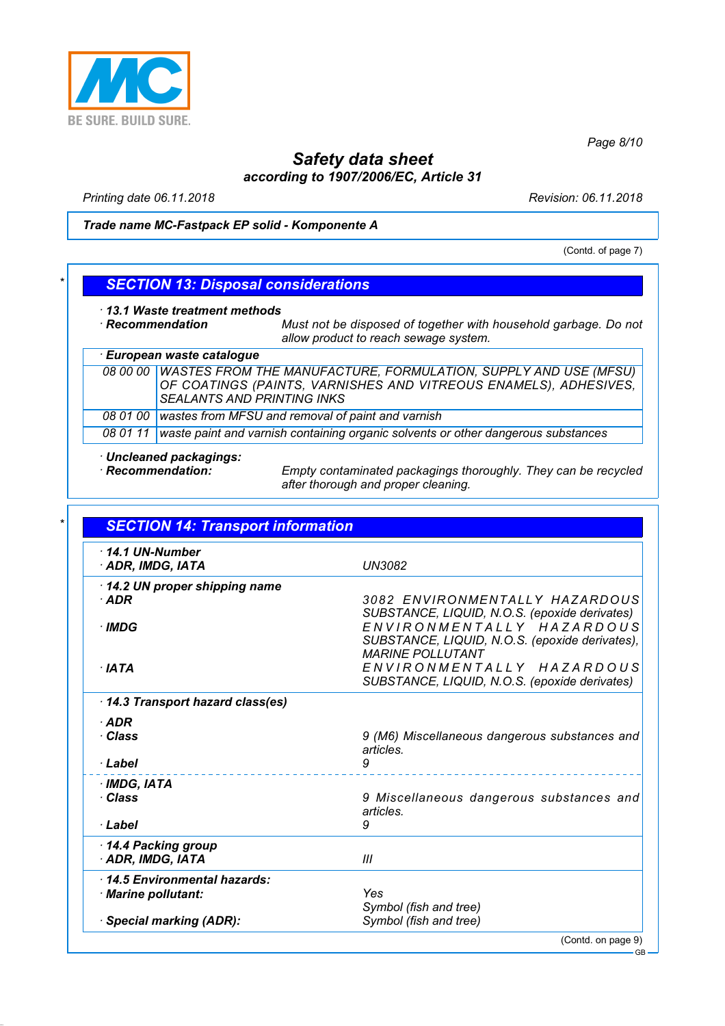

*Page 8/10*

## *Safety data sheet according to 1907/2006/EC, Article 31*

*Printing date 06.11.2018 Revision: 06.11.2018*

#### *Trade name MC-Fastpack EP solid - Komponente A*

(Contd. of page 7)

### *\* SECTION 13: Disposal considerations*

*· 13.1 Waste treatment methods*

*· Recommendation Must not be disposed of together with household garbage. Do not allow product to reach sewage system.*

#### *· European waste catalogue 08 00 00 WASTES FROM THE MANUFACTURE, FORMULATION, SUPPLY AND USE (MFSU) OF COATINGS (PAINTS, VARNISHES AND VITREOUS ENAMELS), ADHESIVES, SEALANTS AND PRINTING INKS 08 01 00 wastes from MFSU and removal of paint and varnish 08 01 11 waste paint and varnish containing organic solvents or other dangerous substances*

- *· Uncleaned packagings:*
- 

*· Recommendation: Empty contaminated packagings thoroughly. They can be recycled after thorough and proper cleaning.*

| $\cdot$ 14.1 UN-Number          |                                                                             |
|---------------------------------|-----------------------------------------------------------------------------|
| · ADR, IMDG, IATA               | <b>UN3082</b>                                                               |
| 14.2 UN proper shipping name    |                                                                             |
| $\cdot$ ADR                     | 3082 ENVIRONMENTALLY HAZARDOUS                                              |
|                                 | SUBSTANCE, LIQUID, N.O.S. (epoxide derivates)                               |
| · IMDG                          | ENVIRONMENTALLY HAZARDOUS<br>SUBSTANCE, LIQUID, N.O.S. (epoxide derivates), |
|                                 | <b>MARINE POLLUTANT</b>                                                     |
| · IATA                          | ENVIRONMENTALLY HAZARDOUS                                                   |
|                                 | SUBSTANCE, LIQUID, N.O.S. (epoxide derivates)                               |
| 14.3 Transport hazard class(es) |                                                                             |
| $\cdot$ ADR                     |                                                                             |
| · Class                         | 9 (M6) Miscellaneous dangerous substances and                               |
|                                 | articles.                                                                   |
| · Label                         | 9                                                                           |
| · IMDG, IATA                    |                                                                             |
| · Class                         | 9 Miscellaneous dangerous substances and                                    |
|                                 | articles.                                                                   |
| · Label                         | 9                                                                           |
| 14.4 Packing group              |                                                                             |
| · ADR, IMDG, IATA               | III                                                                         |
| 14.5 Environmental hazards:     |                                                                             |
| · Marine pollutant:             | Yes                                                                         |
| · Special marking (ADR):        | Symbol (fish and tree)<br>Symbol (fish and tree)                            |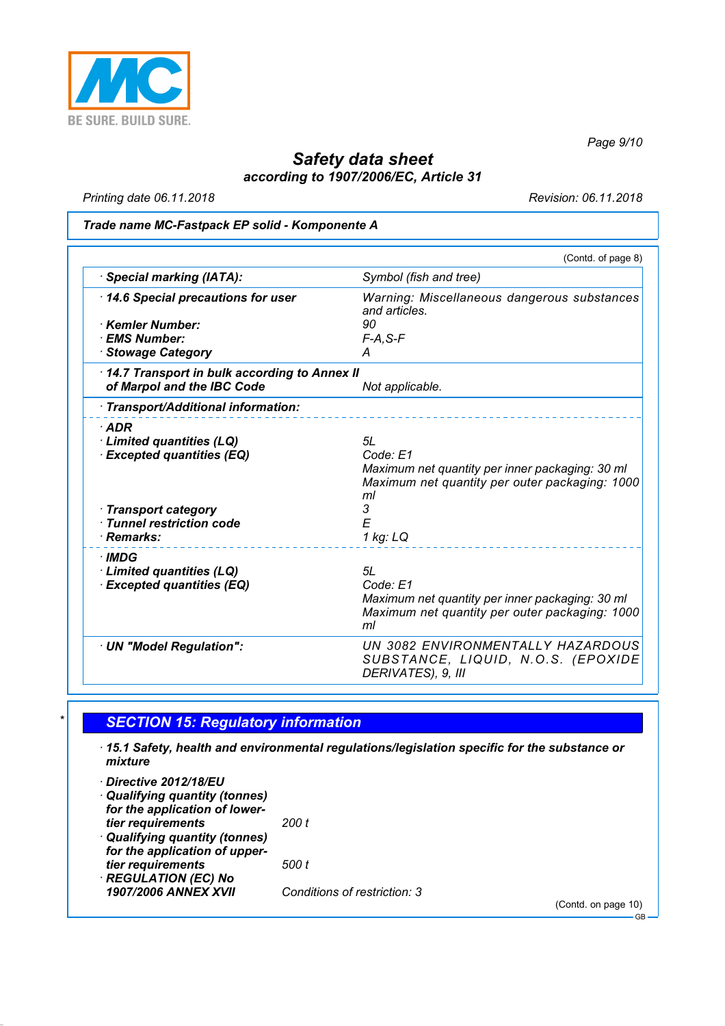

*Page 9/10*

## *Safety data sheet according to 1907/2006/EC, Article 31*

*Printing date 06.11.2018 Revision: 06.11.2018*

#### *Trade name MC-Fastpack EP solid - Komponente A*

|                                              | (Contd. of page 8)                                           |
|----------------------------------------------|--------------------------------------------------------------|
| Special marking (IATA):                      | Symbol (fish and tree)                                       |
| 14.6 Special precautions for user            | Warning: Miscellaneous dangerous substances<br>and articles. |
| · Kemler Number:                             | 90                                                           |
| · EMS Number:                                | $F-A, S-F$                                                   |
| · Stowage Category                           | A                                                            |
| 14.7 Transport in bulk according to Annex II |                                                              |
| of Marpol and the IBC Code                   | Not applicable.                                              |
| · Transport/Additional information:          |                                                              |
| $·$ ADR                                      |                                                              |
| · Limited quantities (LQ)                    | 5L                                                           |
| <b>Excepted quantities (EQ)</b>              | Code: E1                                                     |
|                                              | Maximum net quantity per inner packaging: 30 ml              |
|                                              | Maximum net quantity per outer packaging: 1000<br>ml         |
| · Transport category                         | 3                                                            |
| · Tunnel restriction code                    | E                                                            |
| · Remarks:                                   | 1 kg: LQ                                                     |
| · IMDG                                       |                                                              |
| Limited quantities (LQ)                      | 5L                                                           |
| <b>Excepted quantities (EQ)</b>              | Code: E1                                                     |
|                                              | Maximum net quantity per inner packaging: 30 ml              |
|                                              | Maximum net quantity per outer packaging: 1000               |
|                                              | ml                                                           |
| · UN "Model Regulation":                     | UN 3082 ENVIRONMENTALLY HAZARDOUS                            |
|                                              | SUBSTANCE, LIQUID, N.O.S. (EPOXIDE                           |
|                                              | DERIVATES), 9, III                                           |

### *\* SECTION 15: Regulatory information*

- *· 15.1 Safety, health and environmental regulations/legislation specific for the substance or mixture*
- *· Directive 2012/18/EU · Qualifying quantity (tonnes) for the application of lowertier requirements 200 t · Qualifying quantity (tonnes) for the application of uppertier requirements 500 t · REGULATION (EC) No 1907/2006 ANNEX XVII Conditions of restriction: 3*

(Contd. on page 10)

GB